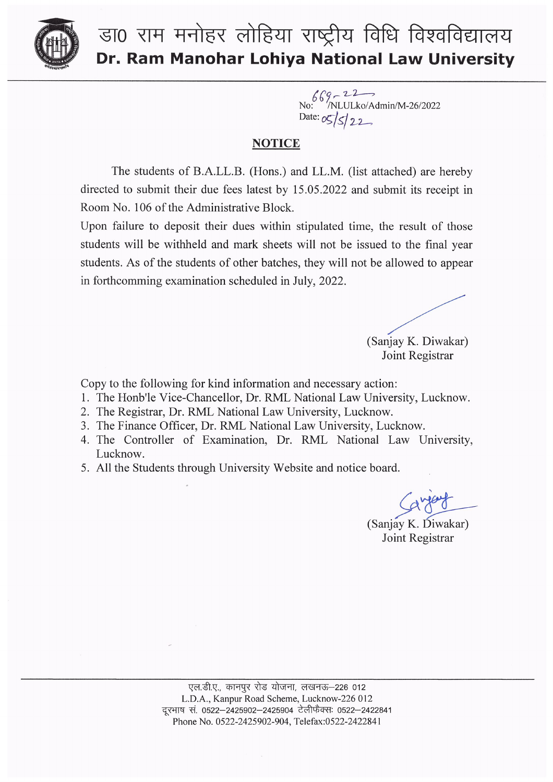

## डा0 राम मनोहर लोहिया राष्ट्रीय विधि विश्वविद्यालय Dr. Ram Manohar Lohiya National Law University

 $669 - 22$ <br>: /NLULko/Admin/M-26/2022  $No:$ Date:  $05/5/22$ 

## **NOTICE**

The students of B.A.LL.B. (Hons.) and LL.M. (list attached) are hereby directed to submit their due fees latest by 15.05.2022 and submit its receipt in Room No. 106 of the Administrative Block.

Upon failure to deposit their dues within stipulated time, the result of those students will be withheld and mark sheets will not be issued to the final year students. As of the students of other batches, they will not be allowed to appear in forthcomming examination scheduled in July, 2022.

(Sanjay K. Diwakar) **Joint Registrar** 

Copy to the following for kind information and necessary action:

- 1. The Honb'le Vice-Chancellor, Dr. RML National Law University, Lucknow.
- 2. The Registrar, Dr. RML National Law University, Lucknow.
- 3. The Finance Officer, Dr. RML National Law University, Lucknow.
- 4. The Controller of Examination, Dr. RML National Law University, Lucknow.
- 5. All the Students through University Website and notice board.

(Sanjay K. Diwakar) Joint Registrar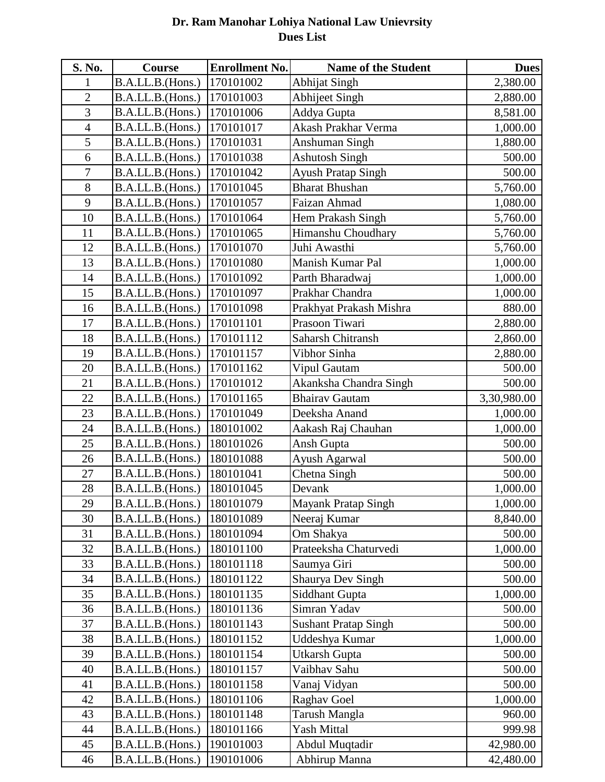## **Dr. Ram Manohar Lohiya National Law Unievrsity Dues List**

| S. No.         | Course           | <b>Enrollment No.</b> | <b>Name of the Student</b>  | <b>Dues</b> |
|----------------|------------------|-----------------------|-----------------------------|-------------|
| $\mathbf{1}$   | B.A.LL.B.(Hons.) | 170101002             | <b>Abhijat Singh</b>        | 2,380.00    |
| $\overline{2}$ | B.A.LL.B.(Hons.) | 170101003             | Abhijeet Singh              | 2,880.00    |
| $\overline{3}$ | B.A.LL.B.(Hons.) | 170101006             | Addya Gupta                 | 8,581.00    |
| $\overline{4}$ | B.A.LL.B.(Hons.) | 170101017             | Akash Prakhar Verma         | 1,000.00    |
| 5              | B.A.LL.B.(Hons.) | 170101031             | Anshuman Singh              | 1,880.00    |
| 6              | B.A.LL.B.(Hons.) | 170101038             | <b>Ashutosh Singh</b>       | 500.00      |
| $\tau$         | B.A.LL.B.(Hons.) | 170101042             | <b>Ayush Pratap Singh</b>   | 500.00      |
| 8              | B.A.LL.B.(Hons.) | 170101045             | <b>Bharat Bhushan</b>       | 5,760.00    |
| 9              | B.A.LL.B.(Hons.) | 170101057             | Faizan Ahmad                | 1,080.00    |
| 10             | B.A.LL.B.(Hons.) | 170101064             | Hem Prakash Singh           | 5,760.00    |
| 11             | B.A.LL.B.(Hons.) | 170101065             | Himanshu Choudhary          | 5,760.00    |
| 12             | B.A.LL.B.(Hons.) | 170101070             | Juhi Awasthi                | 5,760.00    |
| 13             | B.A.LL.B.(Hons.) | 170101080             | Manish Kumar Pal            | 1,000.00    |
| 14             | B.A.LL.B.(Hons.) | 170101092             | Parth Bharadwaj             | 1,000.00    |
| 15             | B.A.LL.B.(Hons.) | 170101097             | Prakhar Chandra             | 1,000.00    |
| 16             | B.A.LL.B.(Hons.) | 170101098             | Prakhyat Prakash Mishra     | 880.00      |
| 17             | B.A.LL.B.(Hons.) | 170101101             | Prasoon Tiwari              | 2,880.00    |
| 18             | B.A.LL.B.(Hons.) | 170101112             | <b>Saharsh Chitransh</b>    | 2,860.00    |
| 19             | B.A.LL.B.(Hons.) | 170101157             | Vibhor Sinha                | 2,880.00    |
| 20             | B.A.LL.B.(Hons.) | 170101162             | Vipul Gautam                | 500.00      |
| 21             | B.A.LL.B.(Hons.) | 170101012             | Akanksha Chandra Singh      | 500.00      |
| 22             | B.A.LL.B.(Hons.) | 170101165             | <b>Bhairav Gautam</b>       | 3,30,980.00 |
| 23             | B.A.LL.B.(Hons.) | 170101049             | Deeksha Anand               | 1,000.00    |
| 24             | B.A.LL.B.(Hons.) | 180101002             | Aakash Raj Chauhan          | 1,000.00    |
| 25             | B.A.LL.B.(Hons.) | 180101026             | Ansh Gupta                  | 500.00      |
| 26             | B.A.LL.B.(Hons.) | 180101088             | Ayush Agarwal               | 500.00      |
| 27             | B.A.LL.B.(Hons.) | 180101041             | Chetna Singh                | 500.00      |
| 28             | B.A.LL.B.(Hons.) | 180101045             | Devank                      | 1,000.00    |
| 29             | B.A.LL.B.(Hons.) | 180101079             | Mayank Pratap Singh         | 1,000.00    |
| 30             | B.A.LL.B.(Hons.) | 180101089             | Neeraj Kumar                | 8,840.00    |
| 31             | B.A.LL.B.(Hons.) | 180101094             | Om Shakya                   | 500.00      |
| 32             | B.A.LL.B.(Hons.) | 180101100             | Prateeksha Chaturvedi       | 1,000.00    |
| 33             | B.A.LL.B.(Hons.) | 180101118             | Saumya Giri                 | 500.00      |
| 34             | B.A.LL.B.(Hons.) | 180101122             | Shaurya Dev Singh           | 500.00      |
| 35             | B.A.LL.B.(Hons.) | 180101135             | Siddhant Gupta              | 1,000.00    |
| 36             | B.A.LL.B.(Hons.) | 180101136             | Simran Yadav                | 500.00      |
| 37             | B.A.LL.B.(Hons.) | 180101143             | <b>Sushant Pratap Singh</b> | 500.00      |
| 38             | B.A.LL.B.(Hons.) | 180101152             | Uddeshya Kumar              | 1,000.00    |
| 39             | B.A.LL.B.(Hons.) | 180101154             | <b>Utkarsh Gupta</b>        | 500.00      |
| 40             | B.A.LL.B.(Hons.) | 180101157             | Vaibhav Sahu                | 500.00      |
| 41             | B.A.LL.B.(Hons.) | 180101158             | Vanaj Vidyan                | 500.00      |
| 42             | B.A.LL.B.(Hons.) | 180101106             | <b>Raghav Goel</b>          | 1,000.00    |
| 43             | B.A.LL.B.(Hons.) | 180101148             | Tarush Mangla               | 960.00      |
| 44             | B.A.LL.B.(Hons.) | 180101166             | Yash Mittal                 | 999.98      |
| 45             | B.A.LL.B.(Hons.) | 190101003             | Abdul Muqtadir              | 42,980.00   |
| 46             | B.A.LL.B.(Hons.) | 190101006             | Abhirup Manna               | 42,480.00   |